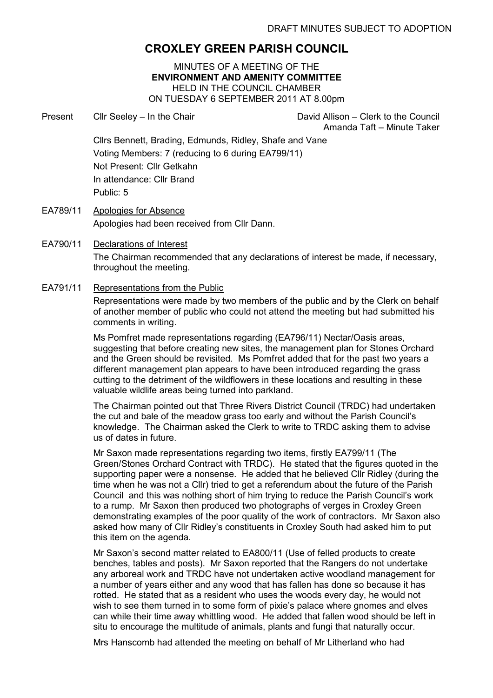## CROXLEY GREEN PARISH COUNCIL

MINUTES OF A MEETING OF THE ENVIRONMENT AND AMENITY COMMITTEE HELD IN THE COUNCIL CHAMBER ON TUESDAY 6 SEPTEMBER 2011 AT 8.00pm

Present Cllr Seeley – In the Chair **David Allison – Clerk to the Council** 

Amanda Taft – Minute Taker

Cllrs Bennett, Brading, Edmunds, Ridley, Shafe and Vane Voting Members: 7 (reducing to 6 during EA799/11) Not Present: Cllr Getkahn In attendance: Cllr Brand Public: 5

- EA789/11 Apologies for Absence Apologies had been received from Cllr Dann.
- EA790/11 Declarations of Interest The Chairman recommended that any declarations of interest be made, if necessary, throughout the meeting.
- EA791/11 Representations from the Public

Representations were made by two members of the public and by the Clerk on behalf of another member of public who could not attend the meeting but had submitted his comments in writing.

Ms Pomfret made representations regarding (EA796/11) Nectar/Oasis areas, suggesting that before creating new sites, the management plan for Stones Orchard and the Green should be revisited. Ms Pomfret added that for the past two years a different management plan appears to have been introduced regarding the grass cutting to the detriment of the wildflowers in these locations and resulting in these valuable wildlife areas being turned into parkland.

The Chairman pointed out that Three Rivers District Council (TRDC) had undertaken the cut and bale of the meadow grass too early and without the Parish Council's knowledge. The Chairman asked the Clerk to write to TRDC asking them to advise us of dates in future.

Mr Saxon made representations regarding two items, firstly EA799/11 (The Green/Stones Orchard Contract with TRDC). He stated that the figures quoted in the supporting paper were a nonsense. He added that he believed Cllr Ridley (during the time when he was not a Cllr) tried to get a referendum about the future of the Parish Council and this was nothing short of him trying to reduce the Parish Council's work to a rump. Mr Saxon then produced two photographs of verges in Croxley Green demonstrating examples of the poor quality of the work of contractors. Mr Saxon also asked how many of Cllr Ridley's constituents in Croxley South had asked him to put this item on the agenda.

Mr Saxon's second matter related to EA800/11 (Use of felled products to create benches, tables and posts). Mr Saxon reported that the Rangers do not undertake any arboreal work and TRDC have not undertaken active woodland management for a number of years either and any wood that has fallen has done so because it has rotted. He stated that as a resident who uses the woods every day, he would not wish to see them turned in to some form of pixie's palace where gnomes and elves can while their time away whittling wood. He added that fallen wood should be left in situ to encourage the multitude of animals, plants and fungi that naturally occur.

Mrs Hanscomb had attended the meeting on behalf of Mr Litherland who had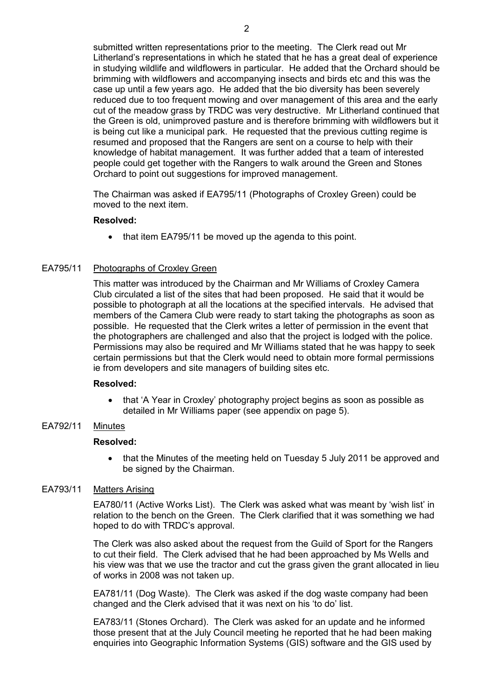submitted written representations prior to the meeting. The Clerk read out Mr Litherland's representations in which he stated that he has a great deal of experience in studying wildlife and wildflowers in particular. He added that the Orchard should be brimming with wildflowers and accompanying insects and birds etc and this was the case up until a few years ago. He added that the bio diversity has been severely reduced due to too frequent mowing and over management of this area and the early cut of the meadow grass by TRDC was very destructive. Mr Litherland continued that the Green is old, unimproved pasture and is therefore brimming with wildflowers but it is being cut like a municipal park. He requested that the previous cutting regime is resumed and proposed that the Rangers are sent on a course to help with their knowledge of habitat management. It was further added that a team of interested people could get together with the Rangers to walk around the Green and Stones Orchard to point out suggestions for improved management.

 The Chairman was asked if EA795/11 (Photographs of Croxley Green) could be moved to the next item.

#### Resolved:

• that item EA795/11 be moved up the agenda to this point.

## EA795/11 Photographs of Croxley Green

This matter was introduced by the Chairman and Mr Williams of Croxley Camera Club circulated a list of the sites that had been proposed. He said that it would be possible to photograph at all the locations at the specified intervals. He advised that members of the Camera Club were ready to start taking the photographs as soon as possible. He requested that the Clerk writes a letter of permission in the event that the photographers are challenged and also that the project is lodged with the police. Permissions may also be required and Mr Williams stated that he was happy to seek certain permissions but that the Clerk would need to obtain more formal permissions ie from developers and site managers of building sites etc.

#### Resolved:

• that 'A Year in Croxley' photography project begins as soon as possible as detailed in Mr Williams paper (see appendix on page 5).

## EA792/11 Minutes

#### Resolved:

• that the Minutes of the meeting held on Tuesday 5 July 2011 be approved and be signed by the Chairman.

#### EA793/11 Matters Arising

EA780/11 (Active Works List). The Clerk was asked what was meant by 'wish list' in relation to the bench on the Green. The Clerk clarified that it was something we had hoped to do with TRDC's approval.

The Clerk was also asked about the request from the Guild of Sport for the Rangers to cut their field. The Clerk advised that he had been approached by Ms Wells and his view was that we use the tractor and cut the grass given the grant allocated in lieu of works in 2008 was not taken up.

EA781/11 (Dog Waste). The Clerk was asked if the dog waste company had been changed and the Clerk advised that it was next on his 'to do' list.

EA783/11 (Stones Orchard). The Clerk was asked for an update and he informed those present that at the July Council meeting he reported that he had been making enquiries into Geographic Information Systems (GIS) software and the GIS used by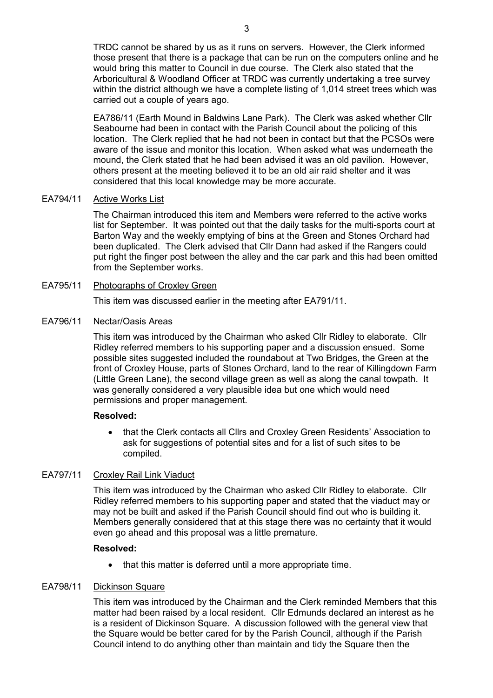TRDC cannot be shared by us as it runs on servers. However, the Clerk informed those present that there is a package that can be run on the computers online and he would bring this matter to Council in due course. The Clerk also stated that the Arboricultural & Woodland Officer at TRDC was currently undertaking a tree survey within the district although we have a complete listing of 1,014 street trees which was carried out a couple of years ago.

EA786/11 (Earth Mound in Baldwins Lane Park). The Clerk was asked whether Cllr Seabourne had been in contact with the Parish Council about the policing of this location. The Clerk replied that he had not been in contact but that the PCSOs were aware of the issue and monitor this location. When asked what was underneath the mound, the Clerk stated that he had been advised it was an old pavilion. However, others present at the meeting believed it to be an old air raid shelter and it was considered that this local knowledge may be more accurate.

## EA794/11 Active Works List

The Chairman introduced this item and Members were referred to the active works list for September. It was pointed out that the daily tasks for the multi-sports court at Barton Way and the weekly emptying of bins at the Green and Stones Orchard had been duplicated. The Clerk advised that Cllr Dann had asked if the Rangers could put right the finger post between the alley and the car park and this had been omitted from the September works.

## EA795/11 Photographs of Croxley Green

This item was discussed earlier in the meeting after EA791/11.

## EA796/11 Nectar/Oasis Areas

This item was introduced by the Chairman who asked Cllr Ridley to elaborate. Cllr Ridley referred members to his supporting paper and a discussion ensued. Some possible sites suggested included the roundabout at Two Bridges, the Green at the front of Croxley House, parts of Stones Orchard, land to the rear of Killingdown Farm (Little Green Lane), the second village green as well as along the canal towpath. It was generally considered a very plausible idea but one which would need permissions and proper management.

#### Resolved:

• that the Clerk contacts all Cllrs and Croxley Green Residents' Association to ask for suggestions of potential sites and for a list of such sites to be compiled.

## EA797/11 Croxley Rail Link Viaduct

This item was introduced by the Chairman who asked Cllr Ridley to elaborate. Cllr Ridley referred members to his supporting paper and stated that the viaduct may or may not be built and asked if the Parish Council should find out who is building it. Members generally considered that at this stage there was no certainty that it would even go ahead and this proposal was a little premature.

#### Resolved:

• that this matter is deferred until a more appropriate time.

#### EA798/11 Dickinson Square

This item was introduced by the Chairman and the Clerk reminded Members that this matter had been raised by a local resident. Cllr Edmunds declared an interest as he is a resident of Dickinson Square. A discussion followed with the general view that the Square would be better cared for by the Parish Council, although if the Parish Council intend to do anything other than maintain and tidy the Square then the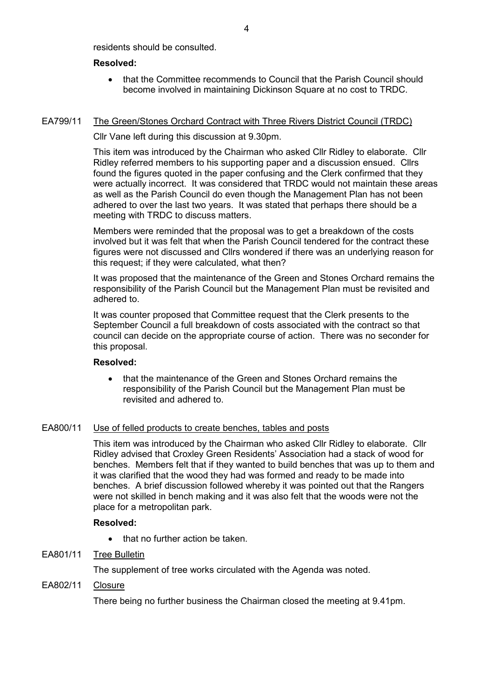residents should be consulted.

## Resolved:

• that the Committee recommends to Council that the Parish Council should become involved in maintaining Dickinson Square at no cost to TRDC.

## EA799/11 The Green/Stones Orchard Contract with Three Rivers District Council (TRDC)

Cllr Vane left during this discussion at 9.30pm.

This item was introduced by the Chairman who asked Cllr Ridley to elaborate. Cllr Ridley referred members to his supporting paper and a discussion ensued. Cllrs found the figures quoted in the paper confusing and the Clerk confirmed that they were actually incorrect. It was considered that TRDC would not maintain these areas as well as the Parish Council do even though the Management Plan has not been adhered to over the last two years. It was stated that perhaps there should be a meeting with TRDC to discuss matters.

Members were reminded that the proposal was to get a breakdown of the costs involved but it was felt that when the Parish Council tendered for the contract these figures were not discussed and Cllrs wondered if there was an underlying reason for this request; if they were calculated, what then?

It was proposed that the maintenance of the Green and Stones Orchard remains the responsibility of the Parish Council but the Management Plan must be revisited and adhered to.

It was counter proposed that Committee request that the Clerk presents to the September Council a full breakdown of costs associated with the contract so that council can decide on the appropriate course of action. There was no seconder for this proposal.

#### Resolved:

• that the maintenance of the Green and Stones Orchard remains the responsibility of the Parish Council but the Management Plan must be revisited and adhered to.

## EA800/11 Use of felled products to create benches, tables and posts

This item was introduced by the Chairman who asked Cllr Ridley to elaborate. Cllr Ridley advised that Croxley Green Residents' Association had a stack of wood for benches. Members felt that if they wanted to build benches that was up to them and it was clarified that the wood they had was formed and ready to be made into benches. A brief discussion followed whereby it was pointed out that the Rangers were not skilled in bench making and it was also felt that the woods were not the place for a metropolitan park.

## Resolved:

• that no further action be taken.

## EA801/11 Tree Bulletin

The supplement of tree works circulated with the Agenda was noted.

## EA802/11 Closure

There being no further business the Chairman closed the meeting at 9.41pm.